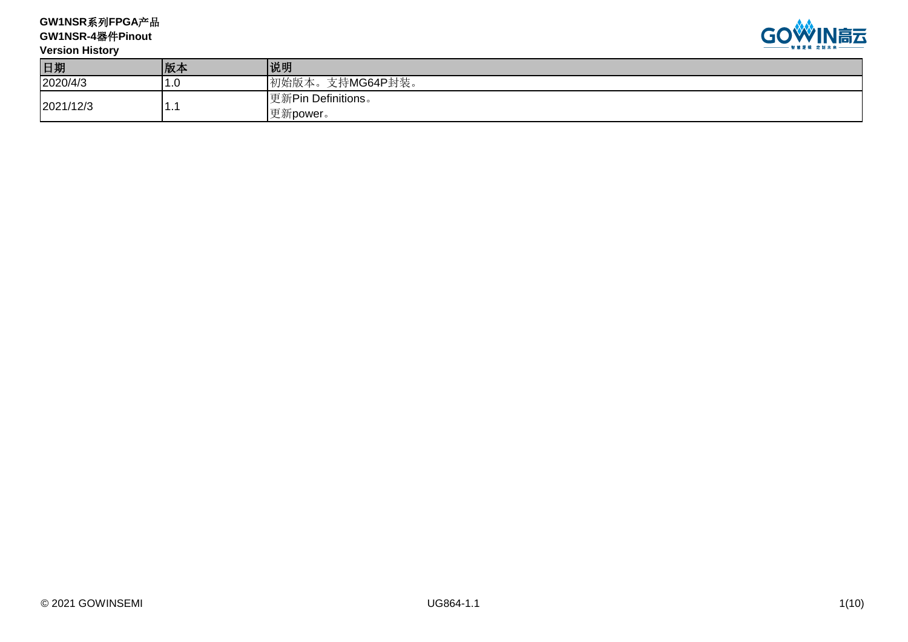**GW1NSR**系列**FPGA**产品 **GW1NSR-4**器件**Pinout**



| <b>Version History</b> |     | _______                        |
|------------------------|-----|--------------------------------|
| 日期                     | 版本  | 说明                             |
| 2020/4/3               | I.U | 初始版本。支持MG64P封装。                |
| 2021/12/3              | . . | 更新Pin Definitions。<br>更新power。 |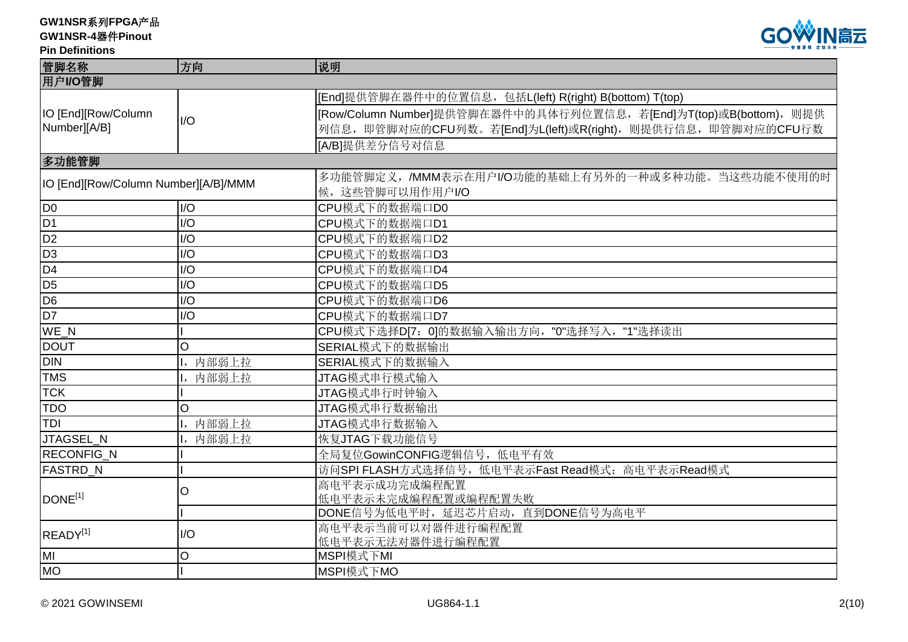**GW1NSR-4**器件**Pinout**

### **Pin Definitions**



| 方向    | 说明                                                                      |
|-------|-------------------------------------------------------------------------|
|       |                                                                         |
|       | [End]提供管脚在器件中的位置信息, 包括L(left) R(right) B(bottom) T(top)                 |
|       | [Row/Column Number]提供管脚在器件中的具体行列位置信息, 若[End]为T(top)或B(bottom), 则提供      |
|       | 列信息, 即管脚对应的CFU列数。若[End]为L(left)或R(right), 则提供行信息, 即管脚对应的CFU行数           |
|       | [A/B]提供差分信号对信息                                                          |
|       |                                                                         |
|       | 多功能管脚定义,/MMM表示在用户I/O功能的基础上有另外的一种或多种功能。当这些功能不使用的时                        |
|       | 候, 这些管脚可以用作用户I/O                                                        |
| I/O   | CPU模式下的数据端口D0                                                           |
| 1/O   | CPU模式下的数据端口D1                                                           |
| I/O   | CPU模式下的数据端口D2                                                           |
| I/O   | CPU模式下的数据端口D3                                                           |
| I/O   | CPU模式下的数据端口D4                                                           |
| I/O   | CPU模式下的数据端口D5                                                           |
| I/O   | CPU模式下的数据端口D6                                                           |
| I/O   | CPU模式下的数据端口D7                                                           |
|       | CPU模式下选择D[7: 0]的数据输入输出方向, "0"选择写入, "1"选择读出                              |
| O     | SERIAL模式下的数据输出                                                          |
| 内部弱上拉 | SERIAL模式下的数据输入                                                          |
| 内部弱上拉 | JTAG模式串行模式输入                                                            |
|       | JTAG模式串行时钟输入                                                            |
| O     | JTAG模式串行数据输出                                                            |
|       | JTAG模式串行数据输入                                                            |
|       | 恢复JTAG下载功能信号                                                            |
|       | 全局复位GowinCONFIG逻辑信号, 低电平有效                                              |
|       | 访问SPI FLASH方式选择信号, 低电平表示Fast Read模式; 高电平表示Read模式                        |
|       | 高电平表示成功完成编程配置                                                           |
|       | 低电平表示未完成编程配置或编程配置失败                                                     |
|       | DONE信号为低电平时, 延迟芯片启动, 直到DONE信号为高电平                                       |
| I/O   | 高电平表示当前可以对器件进行编程配置                                                      |
|       | 低电平表示无法对器件进行编程配置<br>MSPI模式下MI                                           |
|       | MSPI模式下MO                                                               |
|       | I/O<br>IO [End][Row/Column Number][A/B]/MMM<br>内部弱上拉<br>内部弱上拉<br>O<br>O |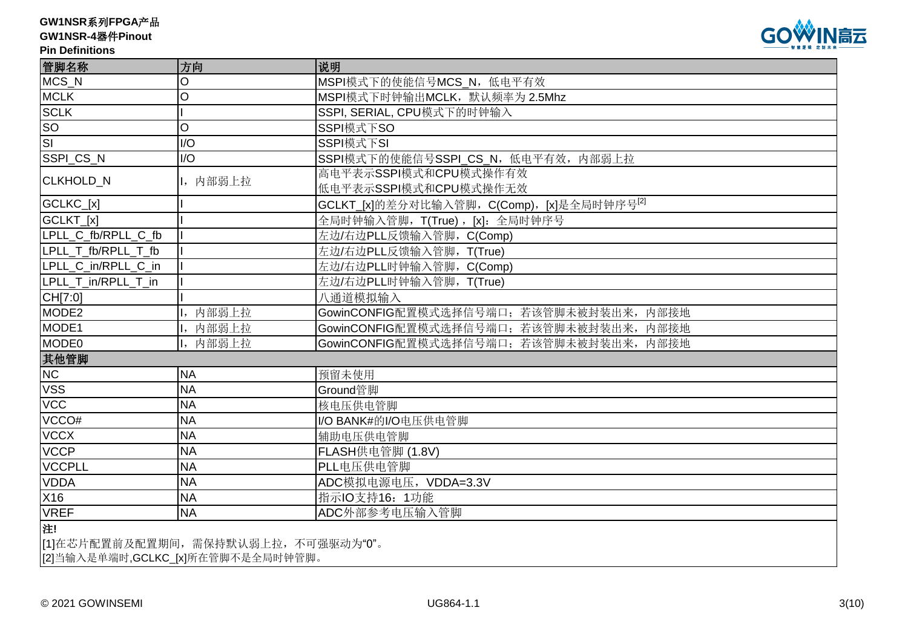# **GW1NSR-4**器件**Pinout**

**Pin Definitions**



| 管脚名称                    | 方向                                   | 说明                                                    |  |  |  |
|-------------------------|--------------------------------------|-------------------------------------------------------|--|--|--|
| MCS_N                   | O                                    | MSPI模式下的使能信号MCS_N, 低电平有效                              |  |  |  |
| <b>MCLK</b>             | O                                    | MSPI模式下时钟输出MCLK, 默认频率为 2.5Mhz                         |  |  |  |
| <b>SCLK</b>             |                                      | SSPI, SERIAL, CPU模式下的时钟输入                             |  |  |  |
| <b>SO</b>               | O                                    | SSPI模式下SO                                             |  |  |  |
| $\overline{\mathsf{S}}$ | I/O                                  | SSPI模式下SI                                             |  |  |  |
| SSPI_CS_N               | I/O                                  | SSPI模式下的使能信号SSPI_CS_N, 低电平有效, 内部弱上拉                   |  |  |  |
| CLKHOLD_N               | 1, 内部弱上拉                             | 高电平表示SSPI模式和CPU模式操作有效                                 |  |  |  |
|                         |                                      | 低电平表示SSPI模式和CPU模式操作无效                                 |  |  |  |
| GCLKC_[x]               |                                      | 'GCLKT_[x]的差分对比输入管脚,C(Comp),[x]是全局时钟序号 <sup>[2]</sup> |  |  |  |
| GCLKT_[x]               |                                      | 全局时钟输入管脚, T(True), [x]: 全局时钟序号                        |  |  |  |
| LPLL C fb/RPLL C fb     |                                      | 左边/右边PLL反馈输入管脚, C(Comp)                               |  |  |  |
| LPLL_T_fb/RPLL_T_fb     |                                      | 左边/右边PLL反馈输入管脚, T(True)                               |  |  |  |
| LPLL C in/RPLL C in     |                                      | 左边/右边PLL时钟输入管脚, C(Comp)                               |  |  |  |
| LPLL T in/RPLL T in     |                                      | 左边/右边PLL时钟输入管脚, T(True)                               |  |  |  |
| CH[7:0]                 |                                      | 八通道模拟输入                                               |  |  |  |
| MODE <sub>2</sub>       | 内部弱上拉                                | GowinCONFIG配置模式选择信号端口;若该管脚未被封装出来,<br>内部接地             |  |  |  |
| MODE1                   | 内部弱上拉                                | GowinCONFIG配置模式选择信号端口; 若该管脚未被封装出来, 内部接地               |  |  |  |
| MODE0                   | I, 内部弱上拉                             | GowinCONFIG配置模式选择信号端口; 若该管脚未被封装出来, 内部接地               |  |  |  |
| 其他管脚                    |                                      |                                                       |  |  |  |
| <b>NC</b>               | <b>NA</b>                            | 预留未使用                                                 |  |  |  |
| <b>VSS</b>              | <b>NA</b>                            | Ground管脚                                              |  |  |  |
| <b>VCC</b>              | <b>NA</b>                            | 核电压供电管脚                                               |  |  |  |
| VCCO#                   | <b>NA</b>                            | I/O BANK#的I/O电压供电管脚                                   |  |  |  |
| <b>VCCX</b>             | <b>NA</b>                            | 辅助电压供电管脚                                              |  |  |  |
| <b>VCCP</b>             | <b>NA</b>                            | FLASH供电管脚 (1.8V)                                      |  |  |  |
| <b>VCCPLL</b>           | <b>NA</b>                            | PLL电压供电管脚                                             |  |  |  |
| <b>VDDA</b>             | <b>NA</b>                            | ADC模拟电源电压, VDDA=3.3V                                  |  |  |  |
| X16                     | <b>NA</b>                            | 指示IO支持16: 1功能                                         |  |  |  |
| <b>VREF</b>             | <b>NA</b>                            | ADC外部参考电压输入管脚                                         |  |  |  |
| 注!                      |                                      |                                                       |  |  |  |
|                         | [1]在芯片配置前及配置期间, 需保持默认弱上拉, 不可强驱动为"0"。 |                                                       |  |  |  |
|                         | [2]当输入是单端时, GCLKC_[x]所在管脚不是全局时钟管脚。   |                                                       |  |  |  |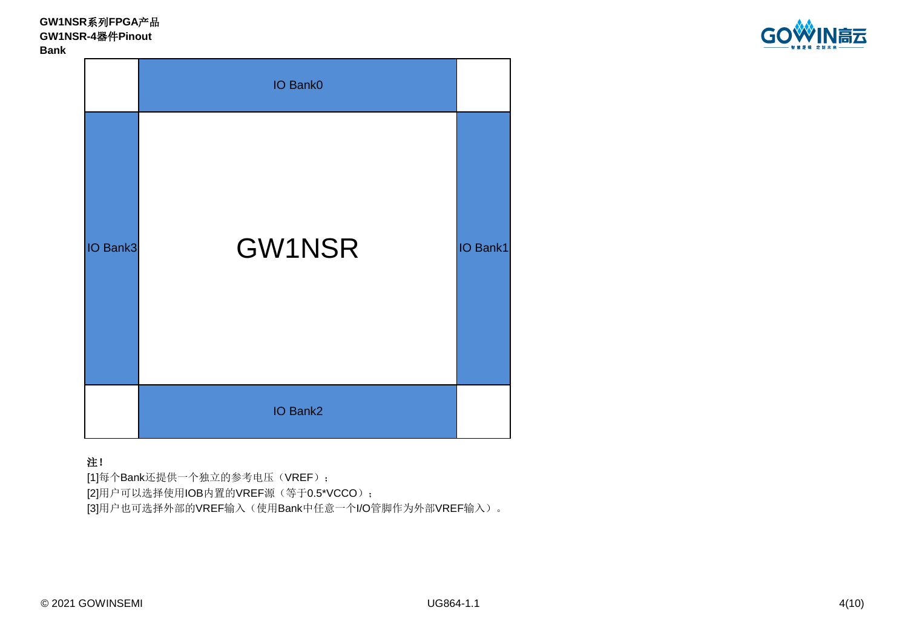**GW1NSR**系列**FPGA**产品 **GW1NSR-4**器件**Pinout Bank**



IO Bank3 **GW1NSR** IO Bank2 IO Bank0

# 注!

[3]用户也可选择外部的VREF输入(使用Bank中任意一个I/O管脚作为外部VREF输入)。 [1]每个Bank还提供一个独立的参考电压(VREF); [2]用户可以选择使用IOB内置的VREF源(等于0.5\*VCCO);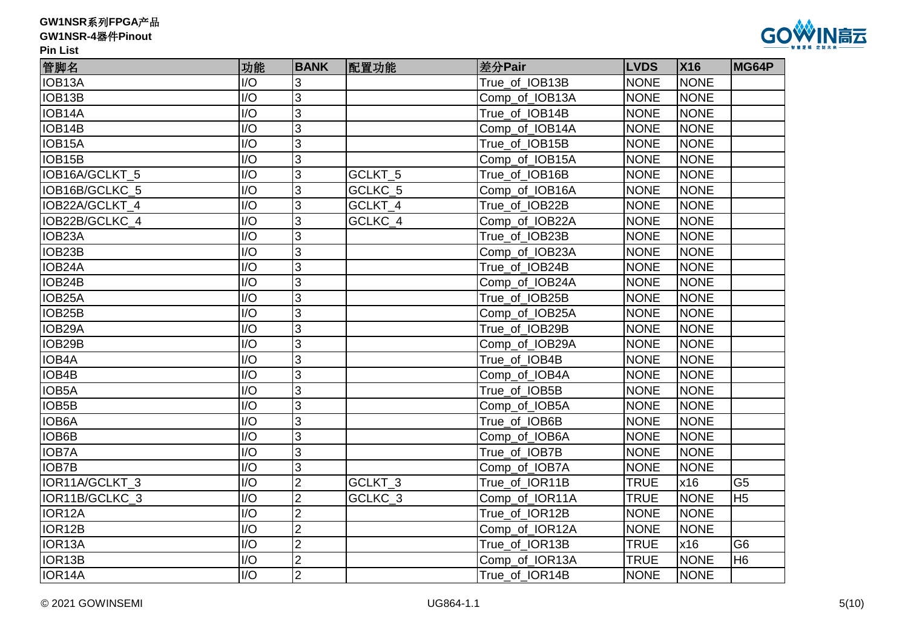|  | GW1NSR系列FPGA产品 |
|--|----------------|
|--|----------------|



| 管脚名                 | 功能               | <b>BANK</b>    | 配置功能    | 差分Pair         | <b>LVDS</b> | <b>X16</b>  | MG64P          |
|---------------------|------------------|----------------|---------|----------------|-------------|-------------|----------------|
| IOB <sub>13</sub> A | I/O              | 3              |         | True_of_IOB13B | <b>NONE</b> | <b>NONE</b> |                |
| IOB13B              | I/O              | 3              |         | Comp of IOB13A | <b>NONE</b> | <b>NONE</b> |                |
| IOB14A              | I/O              | 3              |         | True of IOB14B | <b>NONE</b> | <b>NONE</b> |                |
| IOB14B              | I/O              | 3              |         | Comp_of_IOB14A | <b>NONE</b> | <b>NONE</b> |                |
| IOB15A              | I/O              | 3              |         | True_of_IOB15B | <b>NONE</b> | <b>NONE</b> |                |
| IOB <sub>15</sub> B | I/O              | 3              |         | Comp_of_IOB15A | <b>NONE</b> | <b>NONE</b> |                |
| IOB16A/GCLKT 5      | I/O              | 3              | GCLKT_5 | True of IOB16B | <b>NONE</b> | <b>NONE</b> |                |
| IOB16B/GCLKC 5      | $\overline{1/O}$ | 3              | GCLKC 5 | Comp of IOB16A | <b>NONE</b> | <b>NONE</b> |                |
| IOB22A/GCLKT_4      | I/O              | 3              | GCLKT_4 | True_of_IOB22B | <b>NONE</b> | <b>NONE</b> |                |
| IOB22B/GCLKC_4      | I/O              | 3              | GCLKC_4 | Comp_of_IOB22A | <b>NONE</b> | <b>NONE</b> |                |
| IOB23A              | I/O              | 3              |         | True_of_IOB23B | <b>NONE</b> | <b>NONE</b> |                |
| IOB23B              | I/O              | 3              |         | Comp_of_IOB23A | <b>NONE</b> | <b>NONE</b> |                |
| IOB24A              | I/O              | 3              |         | True of IOB24B | <b>NONE</b> | <b>NONE</b> |                |
| IOB24B              | I/O              | 3              |         | Comp of IOB24A | <b>NONE</b> | <b>NONE</b> |                |
| IOB25A              | I/O              | 3              |         | True of IOB25B | <b>NONE</b> | <b>NONE</b> |                |
| IOB25B              | I/O              | 3              |         | Comp_of_IOB25A | <b>NONE</b> | <b>NONE</b> |                |
| IOB29A              | I/O              | 3              |         | True_of_IOB29B | <b>NONE</b> | <b>NONE</b> |                |
| IOB29B              | I/O              | 3              |         | Comp_of_IOB29A | <b>NONE</b> | <b>NONE</b> |                |
| IOB4A               | $\overline{1/O}$ | $\overline{3}$ |         | True of IOB4B  | <b>NONE</b> | <b>NONE</b> |                |
| IOB4B               | I/O              | 3              |         | Comp of IOB4A  | <b>NONE</b> | <b>NONE</b> |                |
| IOB5A               | I/O              | 3              |         | True_of_IOB5B  | <b>NONE</b> | <b>NONE</b> |                |
| IOB <sub>5</sub> B  | I/O              | 3              |         | Comp_of_IOB5A  | <b>NONE</b> | <b>NONE</b> |                |
| <b>IOB6A</b>        | I/O              | 3              |         | True of IOB6B  | <b>NONE</b> | <b>NONE</b> |                |
| IOB6B               | I/O              | 3              |         | Comp_of_IOB6A  | <b>NONE</b> | <b>NONE</b> |                |
| <b>IOB7A</b>        | I/O              | 3              |         | True of IOB7B  | <b>NONE</b> | <b>NONE</b> |                |
| <b>IOB7B</b>        | I/O              | 3              |         | Comp_of_IOB7A  | <b>NONE</b> | <b>NONE</b> |                |
| IOR11A/GCLKT_3      | $\overline{1/O}$ | $\overline{2}$ | GCLKT_3 | True_of_IOR11B | <b>TRUE</b> | x16         | G <sub>5</sub> |
| IOR11B/GCLKC_3      | I/O              | $\overline{2}$ | GCLKC_3 | Comp_of_IOR11A | <b>TRUE</b> | <b>NONE</b> | H <sub>5</sub> |
| IOR <sub>12</sub> A | I/O              | $\overline{2}$ |         | True_of_IOR12B | <b>NONE</b> | <b>NONE</b> |                |
| IOR12B              | $\overline{1/O}$ | $\overline{2}$ |         | Comp_of_IOR12A | <b>NONE</b> | <b>NONE</b> |                |
| IOR <sub>13</sub> A | I/O              | $\overline{2}$ |         | True_of_IOR13B | <b>TRUE</b> | x16         | G <sub>6</sub> |
| IOR13B              | I/O              | $\overline{2}$ |         | Comp_of_IOR13A | <b>TRUE</b> | <b>NONE</b> | H <sub>6</sub> |
| IOR14A              | I/O              | $\overline{2}$ |         | True_of_IOR14B | <b>NONE</b> | <b>NONE</b> |                |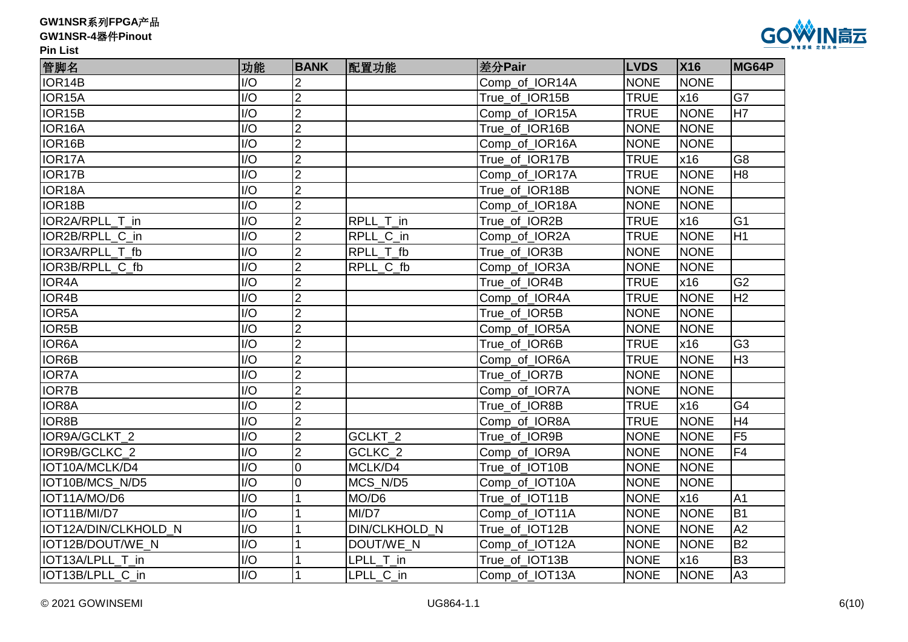# **GW1NSR-4**器件**Pinout**



| 管脚名                  | 功能               | <b>BANK</b>    | 配置功能          | 差分Pair         | <b>LVDS</b> | <b>X16</b>  | MG64P          |
|----------------------|------------------|----------------|---------------|----------------|-------------|-------------|----------------|
| IOR14B               | I/O              |                |               | Comp_of_IOR14A | <b>NONE</b> | <b>NONE</b> |                |
| IOR15A               | I/O              | $\overline{2}$ |               | True_of_IOR15B | <b>TRUE</b> | x16         | G7             |
| IOR15B               | I/O              | $\overline{2}$ |               | Comp_of_IOR15A | <b>TRUE</b> | <b>NONE</b> | H7             |
| IOR16A               | I/O              | $\overline{2}$ |               | True of IOR16B | <b>NONE</b> | <b>NONE</b> |                |
| IOR16B               | I/O              | $\overline{2}$ |               | Comp of IOR16A | <b>NONE</b> | <b>NONE</b> |                |
| IOR17A               | I/O              | $\overline{2}$ |               | True of IOR17B | <b>TRUE</b> | x16         | G <sub>8</sub> |
| IOR17B               | I/O              | $\overline{2}$ |               | Comp of IOR17A | <b>TRUE</b> | <b>NONE</b> | H <sub>8</sub> |
| IOR18A               | I/O              | $\overline{2}$ |               | True_of_IOR18B | <b>NONE</b> | <b>NONE</b> |                |
| IOR18B               | I/O              | $\overline{2}$ |               | Comp_of_IOR18A | <b>NONE</b> | <b>NONE</b> |                |
| IOR2A/RPLL T in      | I/O              | $\overline{2}$ | RPLL T in     | True_of_IOR2B  | <b>TRUE</b> | x16         | G <sub>1</sub> |
| IOR2B/RPLL_C_in      | I/O              | $\overline{2}$ | RPLL_C_in     | Comp_of_IOR2A  | <b>TRUE</b> | <b>NONE</b> | H1             |
| IOR3A/RPLL_T_fb      | I/O              | $\overline{2}$ | RPLL_T_fb     | True_of_IOR3B  | <b>NONE</b> | <b>NONE</b> |                |
| IOR3B/RPLL C fb      | I/O              | $\overline{2}$ | RPLL C fb     | Comp of IOR3A  | <b>NONE</b> | <b>NONE</b> |                |
| <b>IOR4A</b>         | I/O              | $\overline{2}$ |               | True_of_IOR4B  | <b>TRUE</b> | x16         | G <sub>2</sub> |
| IOR4B                | I/O              | $\overline{2}$ |               | Comp of IOR4A  | <b>TRUE</b> | <b>NONE</b> | H2             |
| IOR5A                | I/O              | $\overline{2}$ |               | True of IOR5B  | <b>NONE</b> | <b>NONE</b> |                |
| IOR5B                | I/O              | $\overline{2}$ |               | Comp_of_IOR5A  | <b>NONE</b> | <b>NONE</b> |                |
| <b>IOR6A</b>         | I/O              | $\overline{2}$ |               | True of IOR6B  | <b>TRUE</b> | x16         | G <sub>3</sub> |
| <b>IOR6B</b>         | $\overline{1/O}$ | $\overline{2}$ |               | Comp_of_IOR6A  | <b>TRUE</b> | <b>NONE</b> | H <sub>3</sub> |
| <b>IOR7A</b>         | I/O              | $\overline{2}$ |               | True_of_IOR7B  | <b>NONE</b> | <b>NONE</b> |                |
| <b>IOR7B</b>         | I/O              | $\overline{2}$ |               | Comp_of_IOR7A  | <b>NONE</b> | <b>NONE</b> |                |
| <b>IOR8A</b>         | I/O              | $\overline{2}$ |               | True_of_IOR8B  | <b>TRUE</b> | x16         | G4             |
| <b>IOR8B</b>         | I/O              | $\overline{2}$ |               | Comp_of_IOR8A  | <b>TRUE</b> | <b>NONE</b> | H <sub>4</sub> |
| IOR9A/GCLKT 2        | I/O              | $\overline{2}$ | GCLKT_2       | True_of_IOR9B  | <b>NONE</b> | <b>NONE</b> | F <sub>5</sub> |
| IOR9B/GCLKC 2        | I/O              | $\overline{2}$ | GCLKC_2       | Comp_of_IOR9A  | <b>NONE</b> | <b>NONE</b> | F <sub>4</sub> |
| IOT10A/MCLK/D4       | I/O              | $\overline{0}$ | MCLK/D4       | True of IOT10B | <b>NONE</b> | <b>NONE</b> |                |
| IOT10B/MCS N/D5      | I/O              | $\overline{0}$ | MCS N/D5      | Comp_of_IOT10A | <b>NONE</b> | <b>NONE</b> |                |
| IOT11A/MO/D6         | I/O              |                | MO/D6         | True of IOT11B | <b>NONE</b> | x16         | A <sub>1</sub> |
| IOT11B/MI/D7         | I/O              |                | MI/D7         | Comp_of_IOT11A | <b>NONE</b> | <b>NONE</b> | B <sub>1</sub> |
| IOT12A/DIN/CLKHOLD_N | I/O              |                | DIN/CLKHOLD_N | True_of_IOT12B | <b>NONE</b> | <b>NONE</b> | A2             |
| IOT12B/DOUT/WE N     | I/O              |                | DOUT/WE_N     | Comp_of_IOT12A | <b>NONE</b> | <b>NONE</b> | <b>B2</b>      |
| IOT13A/LPLL_T_in     | I/O              |                | LPLL_T_in     | True_of_IOT13B | <b>NONE</b> | x16         | B <sub>3</sub> |
| IOT13B/LPLL C in     | I/O              |                | LPLL_C_in     | Comp_of_IOT13A | <b>NONE</b> | <b>NONE</b> | A <sub>3</sub> |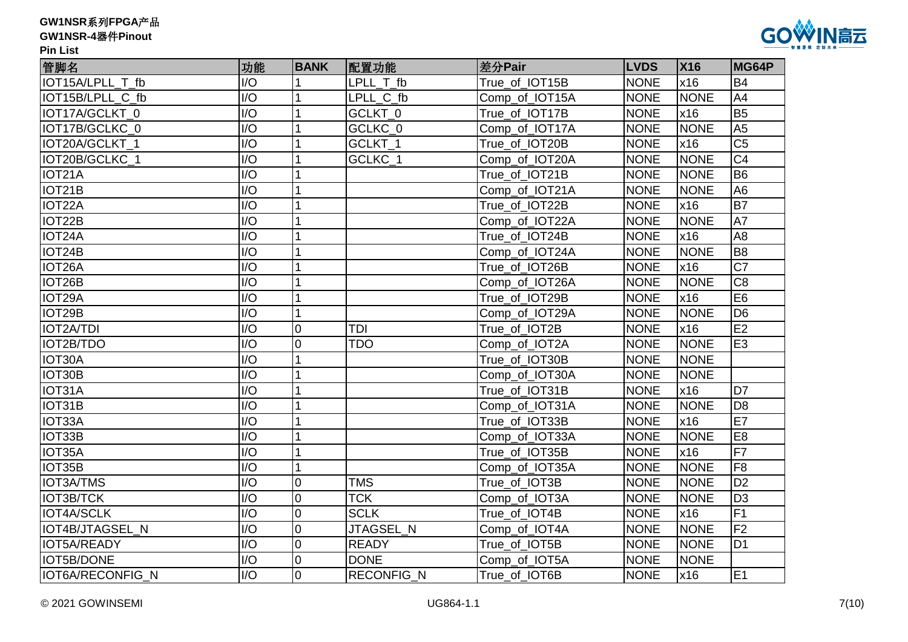| GW1NSR系列FPGA产品 |  |
|----------------|--|
|----------------|--|



| 管脚名                 | 功能               | <b>BANK</b>    | 配置功能              | 差分Pair         | <b>LVDS</b> | <b>X16</b>  | MG64P           |
|---------------------|------------------|----------------|-------------------|----------------|-------------|-------------|-----------------|
| IOT15A/LPLL_T_fb    | I/O              |                | LPLL T fb         | True_of_IOT15B | <b>NONE</b> | x16         | <b>B4</b>       |
| IOT15B/LPLL C fb    | I/O              |                | LPLL C fb         | Comp_of_IOT15A | <b>NONE</b> | <b>NONE</b> | A4              |
| IOT17A/GCLKT 0      | I/O              |                | GCLKT_0           | True_of_IOT17B | <b>NONE</b> | x16         | B <sub>5</sub>  |
| IOT17B/GCLKC_0      | I/O              |                | GCLKC_0           | Comp_of_IOT17A | <b>NONE</b> | <b>NONE</b> | A <sub>5</sub>  |
| IOT20A/GCLKT 1      | I/O              |                | GCLKT_1           | True_of_IOT20B | <b>NONE</b> | x16         | C <sub>5</sub>  |
| IOT20B/GCLKC_1      | I/O              |                | GCLKC_1           | Comp_of_IOT20A | <b>NONE</b> | <b>NONE</b> | C <sub>4</sub>  |
| IOT21A              | I/O              |                |                   | True_of_IOT21B | <b>NONE</b> | <b>NONE</b> | B <sub>6</sub>  |
| IOT <sub>21</sub> B | I/O              |                |                   | Comp_of_IOT21A | <b>NONE</b> | <b>NONE</b> | A <sub>6</sub>  |
| IOT22A              | I/O              |                |                   | True_of_IOT22B | <b>NONE</b> | x16         | B7              |
| IOT22B              | I/O              |                |                   | Comp_of_IOT22A | <b>NONE</b> | <b>NONE</b> | A7              |
| IOT24A              | I/O              |                |                   | True_of_IOT24B | <b>NONE</b> | x16         | A <sub>8</sub>  |
| IOT24B              | I/O              |                |                   | Comp_of_IOT24A | <b>NONE</b> | <b>NONE</b> | B <sub>8</sub>  |
| IOT26A              | I/O              |                |                   | True_of_IOT26B | <b>NONE</b> | x16         | $\overline{C7}$ |
| IOT <sub>26</sub> B | $\overline{1/O}$ |                |                   | Comp_of_IOT26A | <b>NONE</b> | <b>NONE</b> | $\overline{C8}$ |
| IOT29A              | I/O              |                |                   | True_of_IOT29B | <b>NONE</b> | x16         | E <sub>6</sub>  |
| IOT <sub>29</sub> B | I/O              |                |                   | Comp_of_IOT29A | <b>NONE</b> | <b>NONE</b> | D <sub>6</sub>  |
| IOT2A/TDI           | I/O              | $\overline{0}$ | TDI               | True of IOT2B  | <b>NONE</b> | x16         | E2              |
| IOT2B/TDO           | I/O              | $\overline{0}$ | <b>TDO</b>        | Comp of IOT2A  | <b>NONE</b> | <b>NONE</b> | E <sub>3</sub>  |
| IOT30A              | $\overline{1/O}$ |                |                   | True_of_IOT30B | <b>NONE</b> | <b>NONE</b> |                 |
| IOT30B              | $\overline{1/O}$ |                |                   | Comp_of_IOT30A | <b>NONE</b> | <b>NONE</b> |                 |
| IOT31A              | I/O              |                |                   | True_of_IOT31B | <b>NONE</b> | x16         | D <sub>7</sub>  |
| IOT31B              | I/O              |                |                   | Comp_of_IOT31A | <b>NONE</b> | <b>NONE</b> | D <sub>8</sub>  |
| IOT33A              | I/O              |                |                   | True_of_IOT33B | <b>NONE</b> | x16         | E7              |
| IOT33B              | $\overline{1/O}$ |                |                   | Comp_of_IOT33A | <b>NONE</b> | <b>NONE</b> | E <sub>8</sub>  |
| IOT35A              | I/O              |                |                   | True_of_IOT35B | <b>NONE</b> | x16         | F7              |
| IOT35B              | I/O              | 1              |                   | Comp_of_IOT35A | <b>NONE</b> | <b>NONE</b> | F <sub>8</sub>  |
| <b>IOT3A/TMS</b>    | I/O              | 0              | <b>TMS</b>        | True of IOT3B  | <b>NONE</b> | <b>NONE</b> | D <sub>2</sub>  |
| <b>IOT3B/TCK</b>    | I/O              | $\overline{0}$ | <b>TCK</b>        | Comp_of_IOT3A  | <b>NONE</b> | <b>NONE</b> | D <sub>3</sub>  |
| IOT4A/SCLK          | I/O              | $\mathbf 0$    | <b>SCLK</b>       | True_of_IOT4B  | <b>NONE</b> | x16         | F <sub>1</sub>  |
| IOT4B/JTAGSEL N     | $\overline{1/O}$ | $\mathbf 0$    | JTAGSEL_N         | Comp_of_IOT4A  | <b>NONE</b> | <b>NONE</b> | F <sub>2</sub>  |
| IOT5A/READY         | I/O              | $\overline{0}$ | <b>READY</b>      | True_of_IOT5B  | <b>NONE</b> | <b>NONE</b> | D <sub>1</sub>  |
| <b>IOT5B/DONE</b>   | I/O              | $\overline{0}$ | <b>DONE</b>       | Comp_of_IOT5A  | <b>NONE</b> | <b>NONE</b> |                 |
| IOT6A/RECONFIG N    | I/O              | $\overline{0}$ | <b>RECONFIG N</b> | True of IOT6B  | <b>NONE</b> | x16         | E <sub>1</sub>  |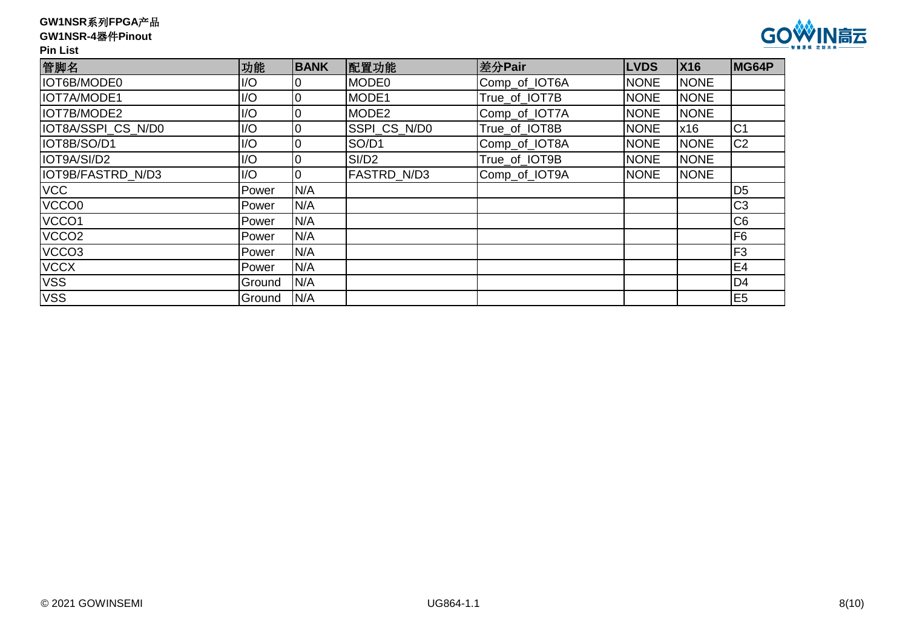# **GW1NSR-4**器件**Pinout**



| 管脚名                | 功能     | <b>BANK</b>    | 配置功能              | 差分Pair        | <b>LVDS</b> | <b>X16</b>  | MG64P          |
|--------------------|--------|----------------|-------------------|---------------|-------------|-------------|----------------|
| IOT6B/MODE0        | I/O    | 10             | MODE0             | Comp_of_IOT6A | <b>NONE</b> | <b>NONE</b> |                |
| IOT7A/MODE1        | I/O    | 10             | <b>MODE1</b>      | True of IOT7B | <b>NONE</b> | <b>NONE</b> |                |
| IOT7B/MODE2        | I/O    | $\overline{0}$ | MODE2             | Comp_of_IOT7A | <b>NONE</b> | <b>NONE</b> |                |
| IOT8A/SSPI_CS_N/D0 | I/O    | 10             | SSPI_CS_N/D0      | True of IOT8B | <b>NONE</b> | x16         | C <sub>1</sub> |
| IOT8B/SO/D1        | I/O    | 0              | SO/D1             | Comp_of_IOT8A | <b>NONE</b> | <b>NONE</b> | C <sub>2</sub> |
| IOT9A/SI/D2        | I/O    | $\overline{0}$ | SI/D <sub>2</sub> | True of IOT9B | <b>NONE</b> | <b>NONE</b> |                |
| IOT9B/FASTRD N/D3  | I/O    | 0              | FASTRD N/D3       | Comp_of_IOT9A | <b>NONE</b> | <b>NONE</b> |                |
| <b>VCC</b>         | Power  | N/A            |                   |               |             |             | D <sub>5</sub> |
| VCCO0              | Power  | N/A            |                   |               |             |             | C <sub>3</sub> |
| VCCO <sub>1</sub>  | Power  | N/A            |                   |               |             |             | C <sub>6</sub> |
| VCCO <sub>2</sub>  | Power  | N/A            |                   |               |             |             | F <sub>6</sub> |
| VCCO <sub>3</sub>  | Power  | N/A            |                   |               |             |             | F <sub>3</sub> |
| <b>VCCX</b>        | Power  | N/A            |                   |               |             |             | E <sub>4</sub> |
| <b>VSS</b>         | Ground | N/A            |                   |               |             |             | D <sub>4</sub> |
| <b>VSS</b>         | Ground | N/A            |                   |               |             |             | E <sub>5</sub> |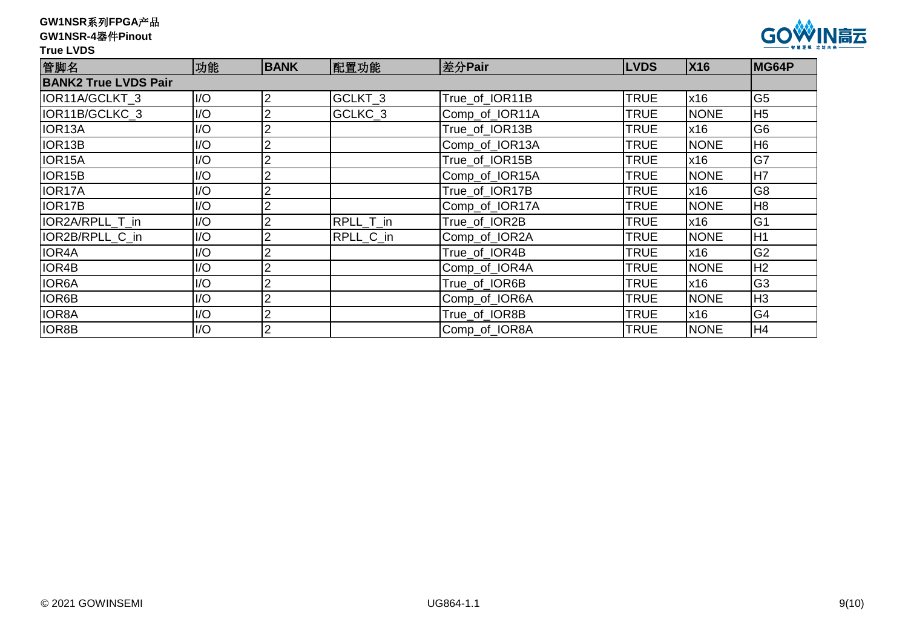|  | GW1NSR系列FPGA产品 |
|--|----------------|
|--|----------------|

#### **True LVDS**



IOR4A I/O 2 True\_of\_IOR4B TRUE x16 G2 IOR4B  $\vert$ I/O  $\vert$ 2  $\vert$  Comp\_of\_IOR4A TRUE NONE H2 IOR6A I/O 2 True\_of\_IOR6B TRUE x16 G3 IOR6B I/O 2 Comp\_of\_IOR6A TRUE NONE H3 IOR8A I/O 2 True\_of\_IOR8B TRUE x16 G4 IOR8B I/O 2 | Comp\_of\_IOR8A TRUE NONE H4